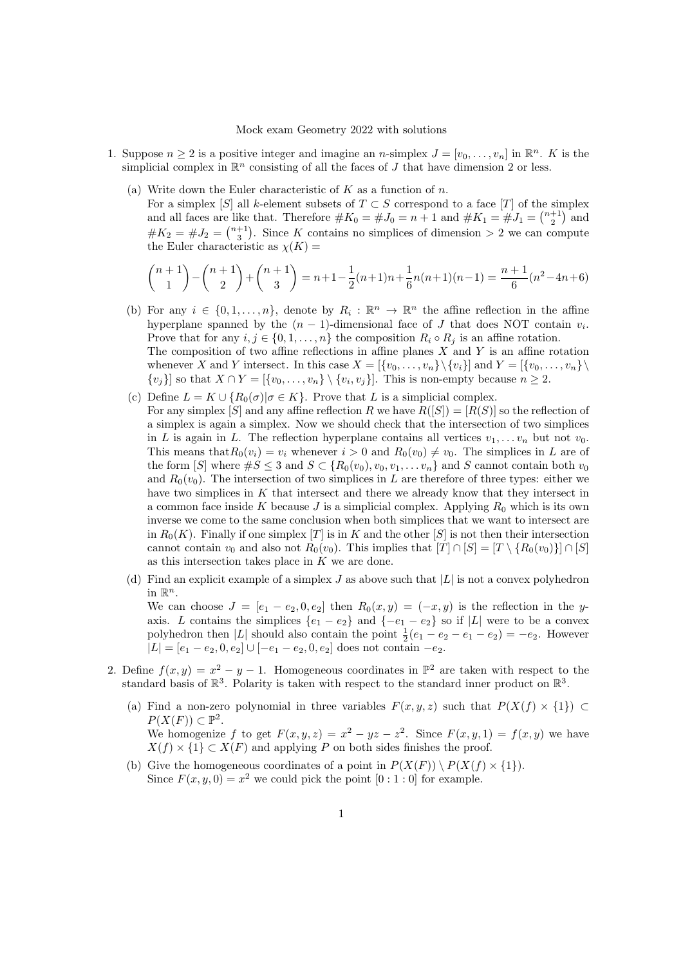## Mock exam Geometry 2022 with solutions

- 1. Suppose  $n \geq 2$  is a positive integer and imagine an *n*-simplex  $J = [v_0, \ldots, v_n]$  in  $\mathbb{R}^n$ . K is the simplicial complex in  $\mathbb{R}^n$  consisting of all the faces of J that have dimension 2 or less.
	- (a) Write down the Euler characteristic of  $K$  as a function of  $n$ .

For a simplex  $[S]$  all k-element subsets of  $T \subset S$  correspond to a face  $[T]$  of the simplex and all faces are like that. Therefore  $\#K_0 = \#J_0 = n+1$  and  $\#K_1 = \#J_1 = \binom{n+1}{2}$  and  $#K_2 = #J_2 = \binom{n+1}{3}$ . Since K contains no simplices of dimension > 2 we can compute the Euler characteristic as  $\chi(K)$  =

$$
\binom{n+1}{1} - \binom{n+1}{2} + \binom{n+1}{3} = n+1-\frac{1}{2}(n+1)n + \frac{1}{6}n(n+1)(n-1) = \frac{n+1}{6}(n^2 - 4n + 6)
$$

- (b) For any  $i \in \{0, 1, ..., n\}$ , denote by  $R_i : \mathbb{R}^n \to \mathbb{R}^n$  the affine reflection in the affine hyperplane spanned by the  $(n-1)$ -dimensional face of J that does NOT contain  $v_i$ . Prove that for any  $i, j \in \{0, 1, \ldots, n\}$  the composition  $R_i \circ R_j$  is an affine rotation. The composition of two affine reflections in affine planes  $X$  and  $Y$  is an affine rotation whenever X and Y intersect. In this case  $X = \{v_0, \ldots, v_n\} \setminus \{v_i\}$  and  $Y = \{v_0, \ldots, v_n\} \setminus \{v_i\}$  $\{v_j\}$  so that  $X \cap Y = [\{v_0, \ldots, v_n\} \setminus \{v_i, v_j\}]$ . This is non-empty because  $n \geq 2$ .
- (c) Define  $L = K \cup \{R_0(\sigma) | \sigma \in K\}$ . Prove that L is a simplicial complex. For any simplex [S] and any affine reflection R we have  $R([S]) = [R(S)]$  so the reflection of a simplex is again a simplex. Now we should check that the intersection of two simplices in L is again in L. The reflection hyperplane contains all vertices  $v_1, \ldots v_n$  but not  $v_0$ . This means that  $R_0(v_i) = v_i$  whenever  $i > 0$  and  $R_0(v_0) \neq v_0$ . The simplices in L are of the form [S] where  $\#S \leq 3$  and  $S \subset \{R_0(v_0), v_0, v_1, \ldots v_n\}$  and S cannot contain both  $v_0$ and  $R_0(v_0)$ . The intersection of two simplices in L are therefore of three types: either we have two simplices in  $K$  that intersect and there we already know that they intersect in a common face inside K because  $J$  is a simplicial complex. Applying  $R_0$  which is its own inverse we come to the same conclusion when both simplices that we want to intersect are in  $R_0(K)$ . Finally if one simplex [T] is in K and the other [S] is not then their intersection cannot contain  $v_0$  and also not  $R_0(v_0)$ . This implies that  $[T] \cap [S] = [T \setminus \{R_0(v_0)\}] \cap [S]$ as this intersection takes place in  $K$  we are done.
- (d) Find an explicit example of a simplex  $J$  as above such that  $|L|$  is not a convex polyhedron in  $\mathbb{R}^n$ . We can choose  $J = [e_1 - e_2, 0, e_2]$  then  $R_0(x, y) = (-x, y)$  is the reflection in the yaxis. L contains the simplices  $\{e_1 - e_2\}$  and  $\{-e_1 - e_2\}$  so if  $|L|$  were to be a convex polyhedron then |L| should also contain the point  $\frac{1}{2}(e_1 - e_2 - e_1 - e_2) = -e_2$ . However  $|L| = [e_1 - e_2, 0, e_2] \cup [-e_1 - e_2, 0, e_2]$  does not contain  $-e_2$ .
- 2. Define  $f(x, y) = x^2 y 1$ . Homogeneous coordinates in  $\mathbb{P}^2$  are taken with respect to the standard basis of  $\mathbb{R}^3$ . Polarity is taken with respect to the standard inner product on  $\mathbb{R}^3$ .
	- (a) Find a non-zero polynomial in three variables  $F(x, y, z)$  such that  $P(X(f) \times \{1\}) \subset$  $P(X(F)) \subset \mathbb{P}^2$ . We homogenize f to get  $F(x, y, z) = x^2 - yz - z^2$ . Since  $F(x, y, 1) = f(x, y)$  we have  $X(f) \times \{1\} \subset X(F)$  and applying P on both sides finishes the proof.
	- (b) Give the homogeneous coordinates of a point in  $P(X(F)) \setminus P(X(f) \times \{1\})$ . Since  $F(x, y, 0) = x^2$  we could pick the point  $[0:1:0]$  for example.